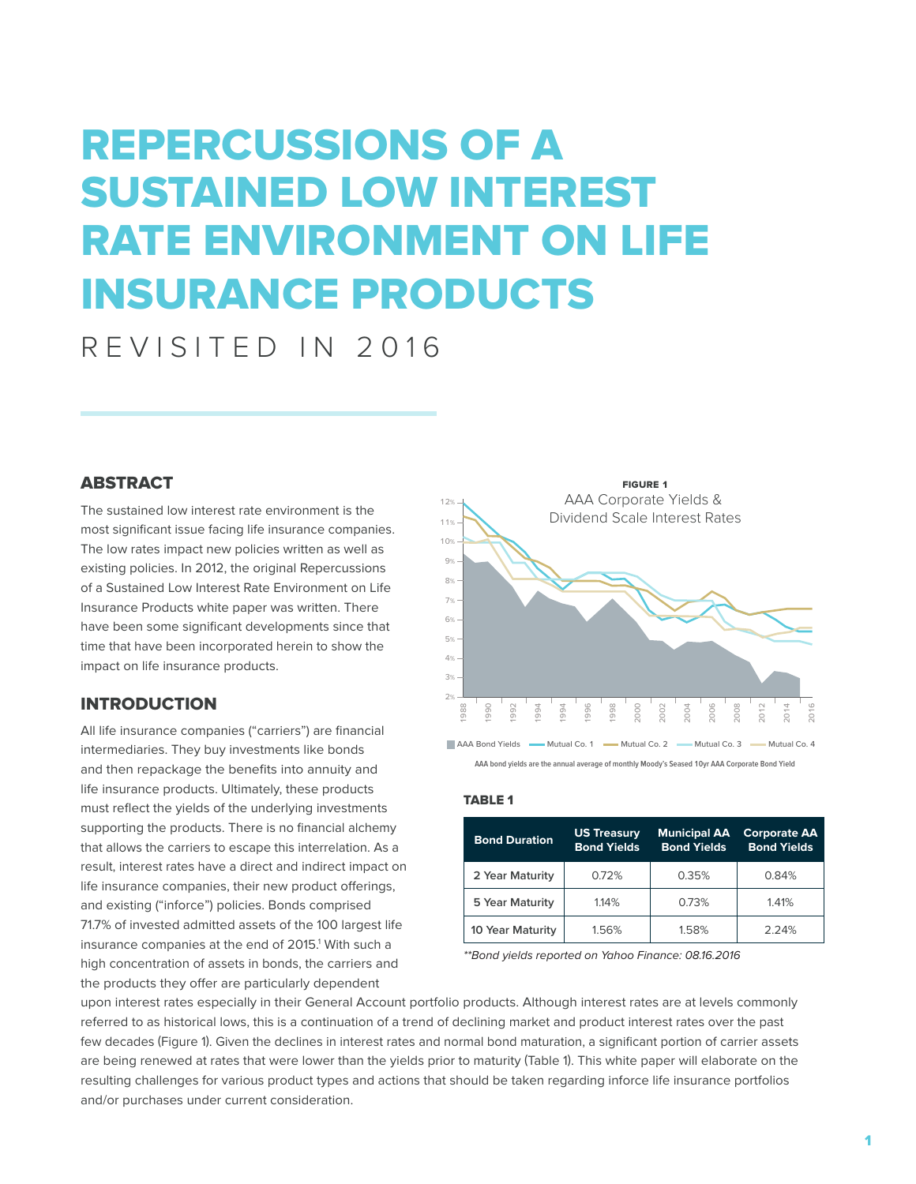# REPERCUSSIONS OF A SUSTAINED LOW INTEREST RATE ENVIRONMENT ON LIFE INSURANCE PRODUCTS

REVISITED IN 2016

## **ABSTRACT**

The sustained low interest rate environment is the most significant issue facing life insurance companies. The low rates impact new policies written as well as existing policies. In 2012, the original Repercussions of a Sustained Low Interest Rate Environment on Life Insurance Products white paper was written. There have been some significant developments since that time that have been incorporated herein to show the impact on life insurance products.

## INTRODUCTION

All life insurance companies ("carriers") are financial intermediaries. They buy investments like bonds and then repackage the benefits into annuity and life insurance products. Ultimately, these products must reflect the yields of the underlying investments supporting the products. There is no financial alchemy that allows the carriers to escape this interrelation. As a result, interest rates have a direct and indirect impact on life insurance companies, their new product offerings, and existing ("inforce") policies. Bonds comprised 71.7% of invested admitted assets of the 100 largest life insurance companies at the end of 2015.<sup>1</sup> With such a high concentration of assets in bonds, the carriers and the products they offer are particularly dependent





#### TABLE 1

| <b>Bond Duration</b> | <b>US Treasury</b><br><b>Bond Yields</b> | <b>Municipal AA</b><br><b>Bond Yields</b> | <b>Corporate AA</b><br><b>Bond Yields</b> |
|----------------------|------------------------------------------|-------------------------------------------|-------------------------------------------|
| 2 Year Maturity      | 0.72%                                    | 0.35%                                     | 0.84%                                     |
| 5 Year Maturity      | 1.14%                                    | 0.73%                                     | 1.41%                                     |
| 10 Year Maturity     | 1.56%                                    | 1.58%                                     | 2.24%                                     |

*\*\*Bond yields reported on Yahoo Finance: 08.16.2016*

upon interest rates especially in their General Account portfolio products. Although interest rates are at levels commonly referred to as historical lows, this is a continuation of a trend of declining market and product interest rates over the past few decades (Figure 1). Given the declines in interest rates and normal bond maturation, a significant portion of carrier assets are being renewed at rates that were lower than the yields prior to maturity (Table 1). This white paper will elaborate on the resulting challenges for various product types and actions that should be taken regarding inforce life insurance portfolios and/or purchases under current consideration.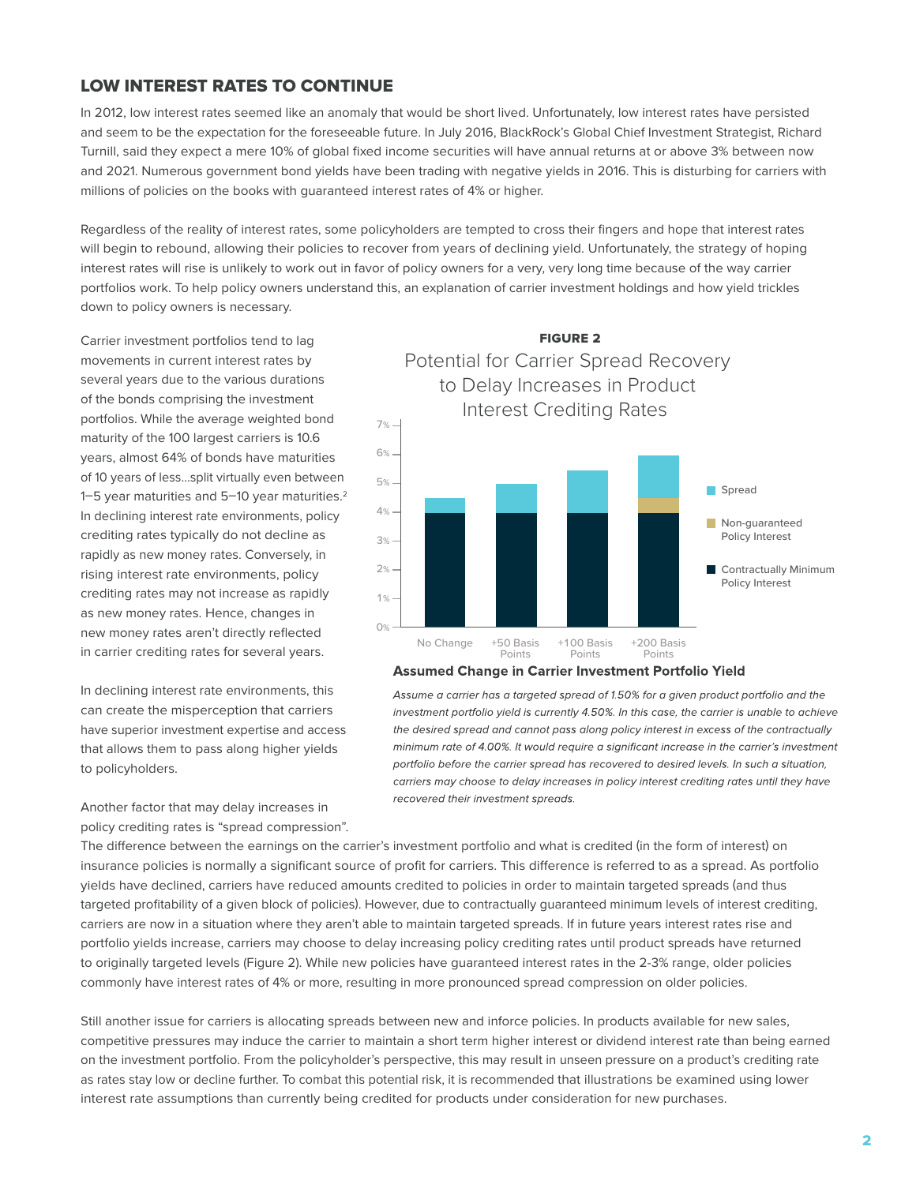# LOW INTEREST RATES TO CONTINUE

In 2012, low interest rates seemed like an anomaly that would be short lived. Unfortunately, low interest rates have persisted and seem to be the expectation for the foreseeable future. In July 2016, BlackRock's Global Chief Investment Strategist, Richard Turnill, said they expect a mere 10% of global fixed income securities will have annual returns at or above 3% between now and 2021. Numerous government bond yields have been trading with negative yields in 2016. This is disturbing for carriers with millions of policies on the books with guaranteed interest rates of 4% or higher.

Regardless of the reality of interest rates, some policyholders are tempted to cross their fingers and hope that interest rates will begin to rebound, allowing their policies to recover from years of declining yield. Unfortunately, the strategy of hoping interest rates will rise is unlikely to work out in favor of policy owners for a very, very long time because of the way carrier portfolios work. To help policy owners understand this, an explanation of carrier investment holdings and how yield trickles down to policy owners is necessary.

Carrier investment portfolios tend to lag movements in current interest rates by several years due to the various durations of the bonds comprising the investment portfolios. While the average weighted bond maturity of the 100 largest carriers is 10.6 years, almost 64% of bonds have maturities of 10 years of less…split virtually even between 1–5 year maturities and 5–10 year maturities.2 In declining interest rate environments, policy crediting rates typically do not decline as rapidly as new money rates. Conversely, in rising interest rate environments, policy crediting rates may not increase as rapidly as new money rates. Hence, changes in new money rates aren't directly reflected in carrier crediting rates for several years.

In declining interest rate environments, this can create the misperception that carriers have superior investment expertise and access that allows them to pass along higher yields to policyholders.

Another factor that may delay increases in policy crediting rates is "spread compression".

FIGURE 2 Potential for Carrier Spread Recovery to Delay Increases in Product Interest Crediting Rates 1% 2% 3%  $4%$ 5% 6% 7% Spread Non-guaranteed Policy Interest **Contractually Minimum** Policy Interest

#### **Assumed Change in Carrier Investment Portfolio Yield**

+100 Basis Points

+50 Basis Points

Assume a carrier has a targeted spread of 1.50% for a given product portfolio and the investment portfolio yield is currently 4.50%. In this case, the carrier is unable to achieve the desired spread and cannot pass along policy interest in excess of the contractually minimum rate of 4.00%. It would require a significant increase in the carrier's investment portfolio before the carrier spread has recovered to desired levels. In such a situation, carriers may choose to delay increases in policy interest crediting rates until they have recovered their investment spreads.

+200 Basis Points

The difference between the earnings on the carrier's investment portfolio and what is credited (in the form of interest) on insurance policies is normally a significant source of profit for carriers. This difference is referred to as a spread. As portfolio yields have declined, carriers have reduced amounts credited to policies in order to maintain targeted spreads (and thus targeted profitability of a given block of policies). However, due to contractually guaranteed minimum levels of interest crediting, carriers are now in a situation where they aren't able to maintain targeted spreads. If in future years interest rates rise and portfolio yields increase, carriers may choose to delay increasing policy crediting rates until product spreads have returned to originally targeted levels (Figure 2). While new policies have guaranteed interest rates in the 2-3% range, older policies commonly have interest rates of 4% or more, resulting in more pronounced spread compression on older policies.

No Change

0%

Still another issue for carriers is allocating spreads between new and inforce policies. In products available for new sales, competitive pressures may induce the carrier to maintain a short term higher interest or dividend interest rate than being earned on the investment portfolio. From the policyholder's perspective, this may result in unseen pressure on a product's crediting rate as rates stay low or decline further. To combat this potential risk, it is recommended that illustrations be examined using lower interest rate assumptions than currently being credited for products under consideration for new purchases.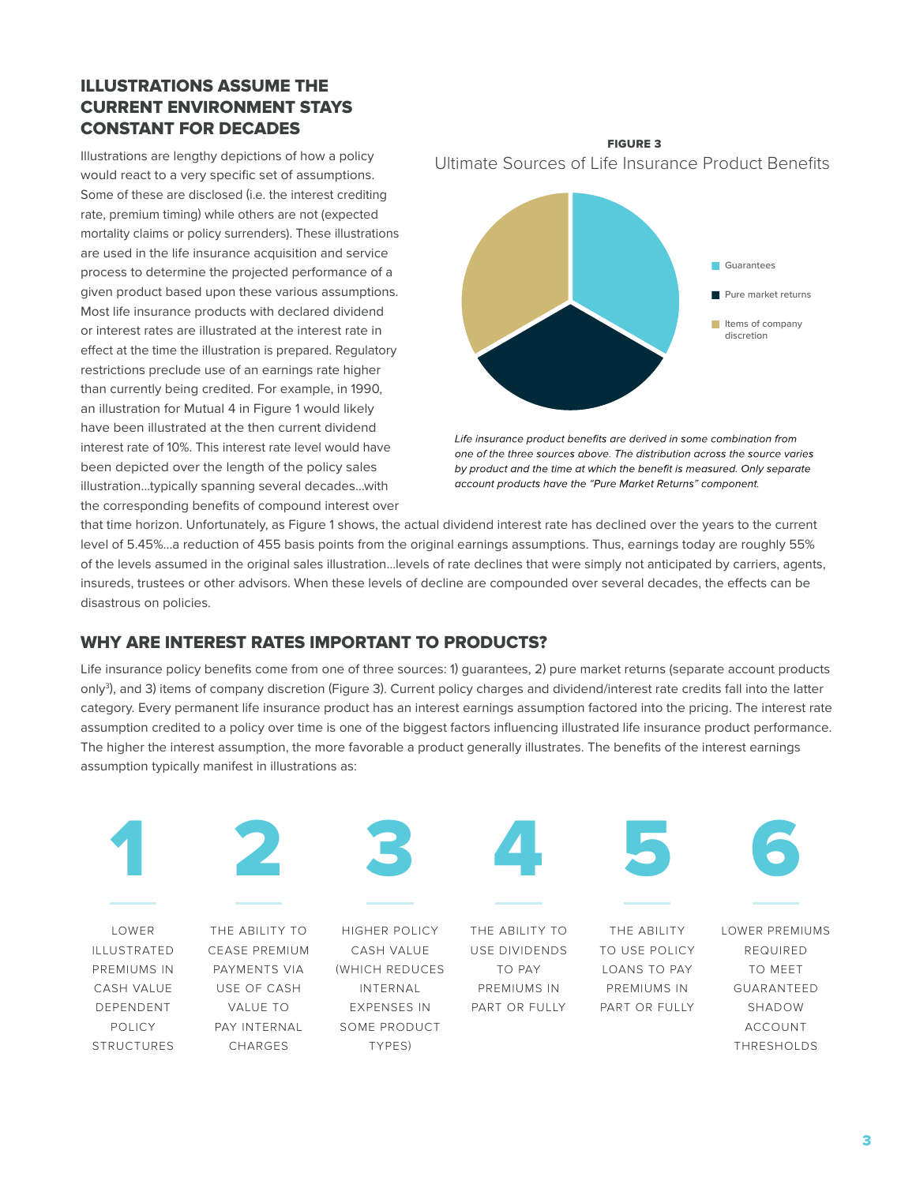# ILLUSTRATIONS ASSUME THE CURRENT ENVIRONMENT STAYS CONSTANT FOR DECADES

Illustrations are lengthy depictions of how a policy would react to a very specific set of assumptions. Some of these are disclosed (i.e. the interest crediting rate, premium timing) while others are not (expected mortality claims or policy surrenders). These illustrations are used in the life insurance acquisition and service process to determine the projected performance of a given product based upon these various assumptions. Most life insurance products with declared dividend or interest rates are illustrated at the interest rate in effect at the time the illustration is prepared. Regulatory restrictions preclude use of an earnings rate higher than currently being credited. For example, in 1990, an illustration for Mutual 4 in Figure 1 would likely have been illustrated at the then current dividend interest rate of 10%. This interest rate level would have been depicted over the length of the policy sales illustration…typically spanning several decades…with the corresponding benefits of compound interest over

FIGURE 3 Ultimate Sources of Life Insurance Product Benefits



Life insurance product benefits are derived in some combination from one of the three sources above. The distribution across the source varies by product and the time at which the benefit is measured. Only separate account products have the "Pure Market Returns" component.

that time horizon. Unfortunately, as Figure 1 shows, the actual dividend interest rate has declined over the years to the current level of 5.45%...a reduction of 455 basis points from the original earnings assumptions. Thus, earnings today are roughly 55% of the levels assumed in the original sales illustration…levels of rate declines that were simply not anticipated by carriers, agents, insureds, trustees or other advisors. When these levels of decline are compounded over several decades, the effects can be disastrous on policies.

# WHY ARE INTEREST RATES IMPORTANT TO PRODUCTS?

Life insurance policy benefits come from one of three sources: 1) guarantees, 2) pure market returns (separate account products only<sup>3</sup>), and 3) items of company discretion (Figure 3). Current policy charges and dividend/interest rate credits fall into the latter category. Every permanent life insurance product has an interest earnings assumption factored into the pricing. The interest rate assumption credited to a policy over time is one of the biggest factors influencing illustrated life insurance product performance. The higher the interest assumption, the more favorable a product generally illustrates. The benefits of the interest earnings assumption typically manifest in illustrations as:

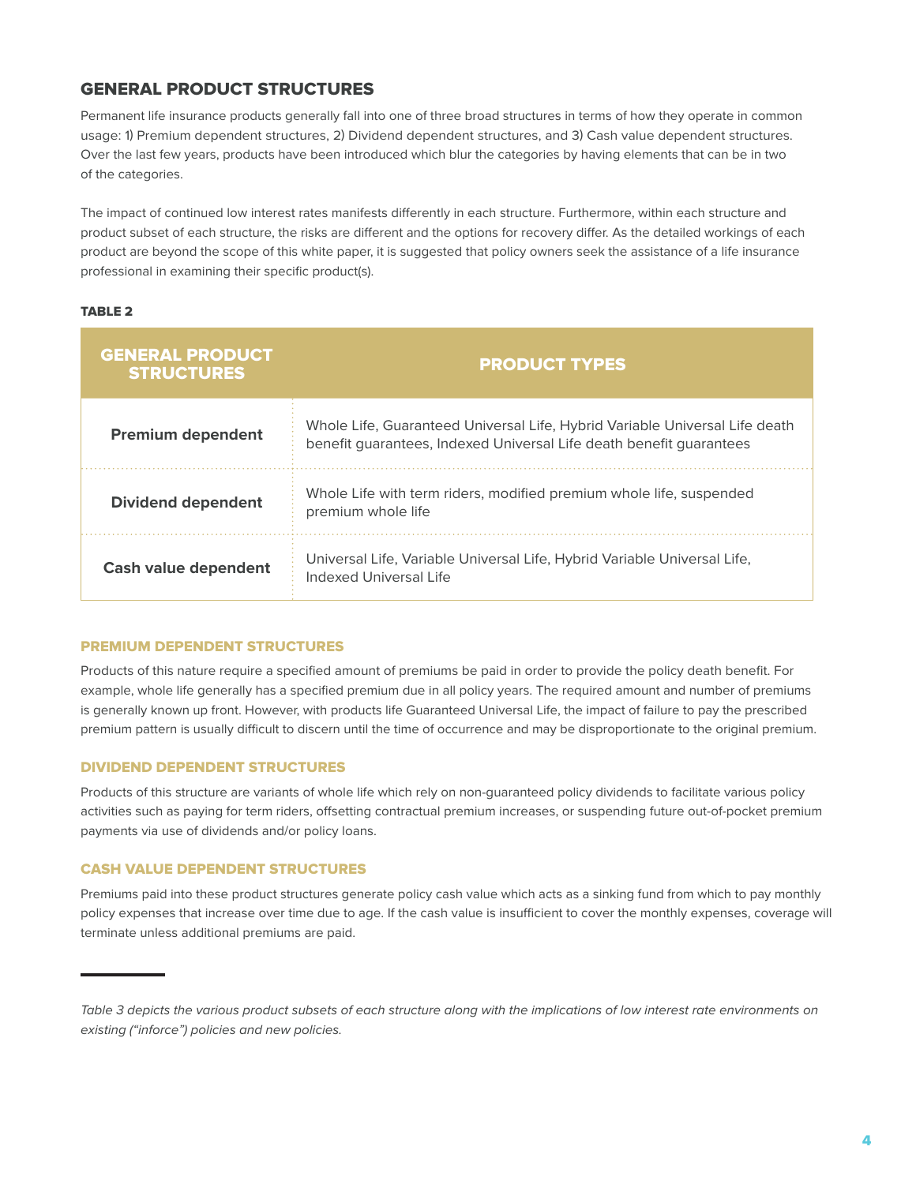# GENERAL PRODUCT STRUCTURES

Permanent life insurance products generally fall into one of three broad structures in terms of how they operate in common usage: 1) Premium dependent structures, 2) Dividend dependent structures, and 3) Cash value dependent structures. Over the last few years, products have been introduced which blur the categories by having elements that can be in two of the categories.

The impact of continued low interest rates manifests differently in each structure. Furthermore, within each structure and product subset of each structure, the risks are different and the options for recovery differ. As the detailed workings of each product are beyond the scope of this white paper, it is suggested that policy owners seek the assistance of a life insurance professional in examining their specific product(s).

#### TABLE 2

| <b>GENERAL PRODUCT</b><br><b>STRUCTURES</b> | <b>PRODUCT TYPES</b>                                                                                                                               |  |  |
|---------------------------------------------|----------------------------------------------------------------------------------------------------------------------------------------------------|--|--|
| <b>Premium dependent</b>                    | Whole Life, Guaranteed Universal Life, Hybrid Variable Universal Life death<br>benefit quarantees, Indexed Universal Life death benefit quarantees |  |  |
| <b>Dividend dependent</b>                   | Whole Life with term riders, modified premium whole life, suspended<br>premium whole life                                                          |  |  |
| <b>Cash value dependent</b>                 | Universal Life, Variable Universal Life, Hybrid Variable Universal Life,<br>Indexed Universal Life                                                 |  |  |

#### PREMIUM DEPENDENT STRUCTURES

Products of this nature require a specified amount of premiums be paid in order to provide the policy death benefit. For example, whole life generally has a specified premium due in all policy years. The required amount and number of premiums is generally known up front. However, with products life Guaranteed Universal Life, the impact of failure to pay the prescribed premium pattern is usually difficult to discern until the time of occurrence and may be disproportionate to the original premium.

#### DIVIDEND DEPENDENT STRUCTURES

Products of this structure are variants of whole life which rely on non-guaranteed policy dividends to facilitate various policy activities such as paying for term riders, offsetting contractual premium increases, or suspending future out-of-pocket premium payments via use of dividends and/or policy loans.

#### CASH VALUE DEPENDENT STRUCTURES

Premiums paid into these product structures generate policy cash value which acts as a sinking fund from which to pay monthly policy expenses that increase over time due to age. If the cash value is insufficient to cover the monthly expenses, coverage will terminate unless additional premiums are paid.

Table 3 depicts the various product subsets of each structure along with the implications of low interest rate environments on *existing ("inforce") policies and new policies.*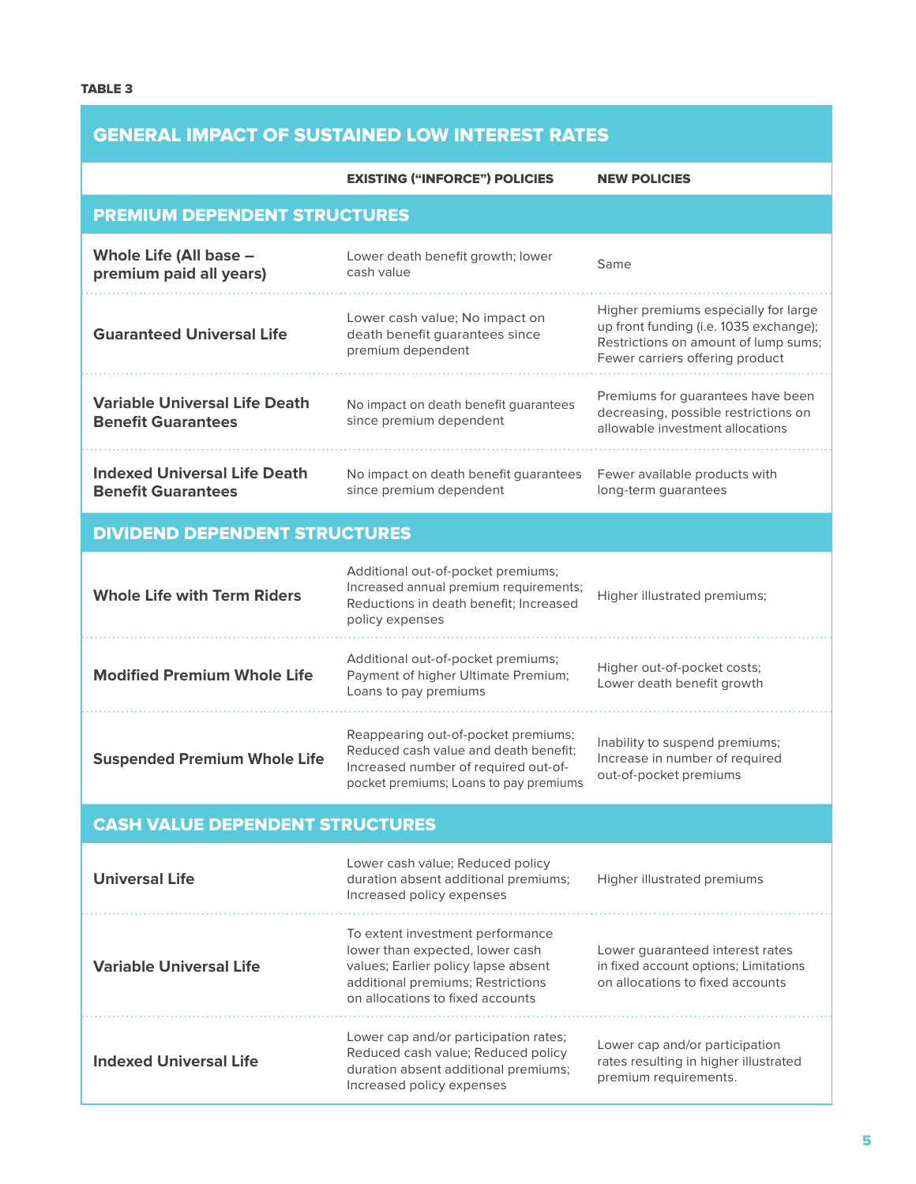# GENERAL IMPACT OF SUSTAINED LOW INTEREST RATES

### EXISTING ("INFORCE") POLICIES NEW POLICIES

| <b>PREMIUM DEPENDENT STRUCTURES</b>                               |                                                                                                                                                                                                                                                      |                                                                                                                                                           |  |  |  |
|-------------------------------------------------------------------|------------------------------------------------------------------------------------------------------------------------------------------------------------------------------------------------------------------------------------------------------|-----------------------------------------------------------------------------------------------------------------------------------------------------------|--|--|--|
| Whole Life (All base -<br>premium paid all years)                 | Lower death benefit growth; lower<br>cash value                                                                                                                                                                                                      | Same                                                                                                                                                      |  |  |  |
| <b>Guaranteed Universal Life</b>                                  | Lower cash value; No impact on<br>death benefit guarantees since<br>premium dependent                                                                                                                                                                | Higher premiums especially for large<br>up front funding (i.e. 1035 exchange);<br>Restrictions on amount of lump sums;<br>Fewer carriers offering product |  |  |  |
| <b>Variable Universal Life Death</b><br><b>Benefit Guarantees</b> | No impact on death benefit guarantees<br>since premium dependent                                                                                                                                                                                     | Premiums for guarantees have been<br>decreasing, possible restrictions on<br>allowable investment allocations                                             |  |  |  |
| <b>Indexed Universal Life Death</b><br><b>Benefit Guarantees</b>  | No impact on death benefit guarantees<br>since premium dependent                                                                                                                                                                                     | Fewer available products with<br>long-term guarantees                                                                                                     |  |  |  |
| <b>DIVIDEND DEPENDENT STRUCTURES</b>                              |                                                                                                                                                                                                                                                      |                                                                                                                                                           |  |  |  |
| <b>Whole Life with Term Riders</b>                                | Additional out-of-pocket premiums;<br>Increased annual premium requirements;<br>Higher illustrated premiums;<br>Reductions in death benefit; Increased<br>policy expenses                                                                            |                                                                                                                                                           |  |  |  |
| <b>Modified Premium Whole Life</b>                                | Additional out-of-pocket premiums;<br>Payment of higher Ultimate Premium;<br>Loans to pay premiums                                                                                                                                                   | Higher out-of-pocket costs;<br>Lower death benefit growth                                                                                                 |  |  |  |
| <b>Suspended Premium Whole Life</b>                               | Reappearing out-of-pocket premiums;<br>Reduced cash value and death benefit;<br>Increased number of required out-of-<br>pocket premiums; Loans to pay premiums                                                                                       | Inability to suspend premiums;<br>Increase in number of required<br>out-of-pocket premiums                                                                |  |  |  |
| <b>CASH VALUE DEPENDENT STRUCTURES</b>                            |                                                                                                                                                                                                                                                      |                                                                                                                                                           |  |  |  |
| <b>Universal Life</b>                                             | Lower cash value; Reduced policy<br>duration absent additional premiums;<br>Increased policy expenses                                                                                                                                                | Higher illustrated premiums                                                                                                                               |  |  |  |
| <b>Variable Universal Life</b>                                    | To extent investment performance<br>lower than expected, lower cash<br>values; Earlier policy lapse absent<br>additional premiums; Restrictions<br>on allocations to fixed accounts                                                                  | Lower guaranteed interest rates<br>in fixed account options; Limitations<br>on allocations to fixed accounts                                              |  |  |  |
| <b>Indexed Universal Life</b>                                     | Lower cap and/or participation rates;<br>Lower cap and/or participation<br>Reduced cash value; Reduced policy<br>rates resulting in higher illustrated<br>duration absent additional premiums;<br>premium requirements.<br>Increased policy expenses |                                                                                                                                                           |  |  |  |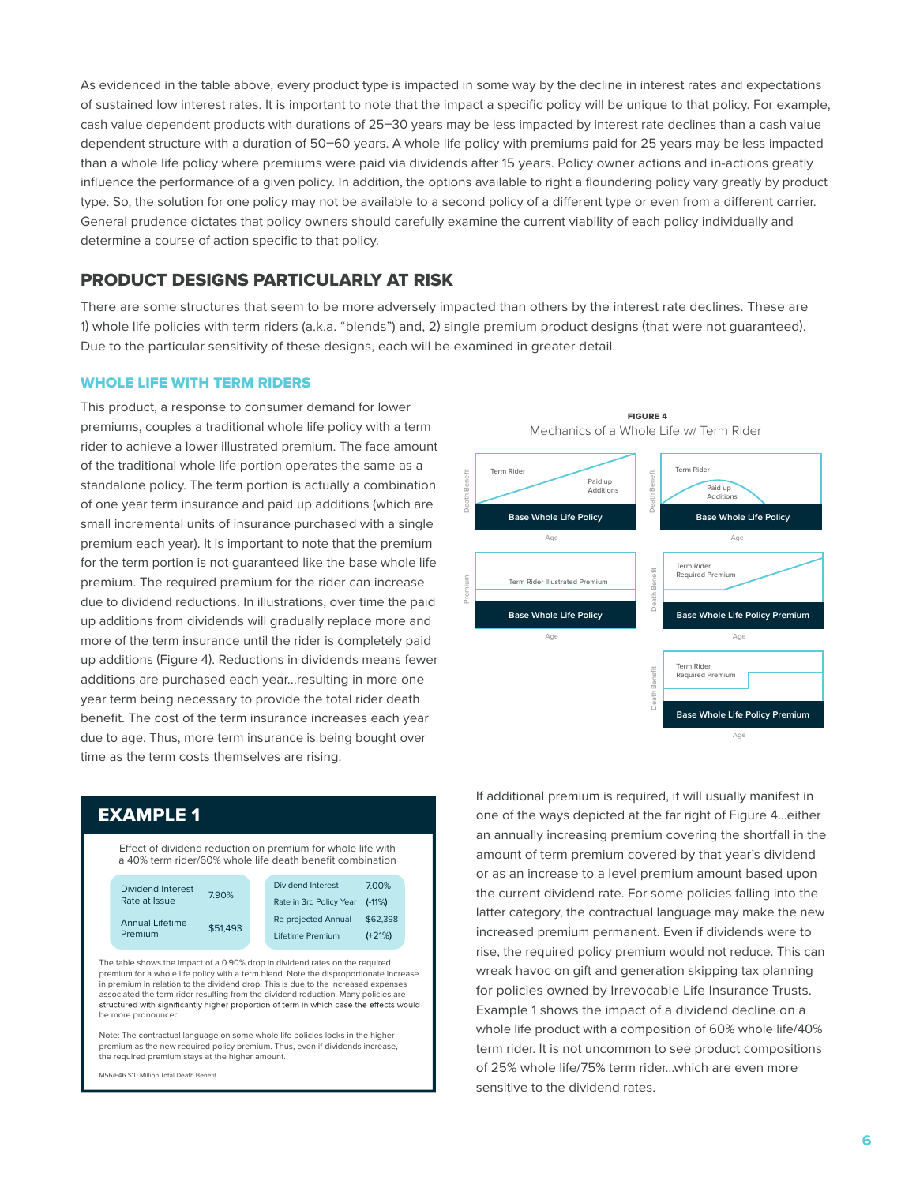As evidenced in the table above, every product type is impacted in some way by the decline in interest rates and expectations of sustained low interest rates. It is important to note that the impact a specific policy will be unique to that policy. For example, cash value dependent products with durations of 25–30 years may be less impacted by interest rate declines than a cash value dependent structure with a duration of 50–60 years. A whole life policy with premiums paid for 25 years may be less impacted than a whole life policy where premiums were paid via dividends after 15 years. Policy owner actions and in-actions greatly influence the performance of a given policy. In addition, the options available to right a floundering policy vary greatly by product type. So, the solution for one policy may not be available to a second policy of a different type or even from a different carrier. General prudence dictates that policy owners should carefully examine the current viability of each policy individually and determine a course of action specific to that policy.

## PRODUCT DESIGNS PARTICULARLY AT RISK

There are some structures that seem to be more adversely impacted than others by the interest rate declines. These are 1) whole life policies with term riders (a.k.a. "blends") and, 2) single premium product designs (that were not guaranteed). Due to the particular sensitivity of these designs, each will be examined in greater detail.

#### WHOLE LIFE WITH TERM RIDERS

This product, a response to consumer demand for lower premiums, couples a traditional whole life policy with a term rider to achieve a lower illustrated premium. The face amount of the traditional whole life portion operates the same as a standalone policy. The term portion is actually a combination of one year term insurance and paid up additions (which are small incremental units of insurance purchased with a single premium each year). It is important to note that the premium for the term portion is not guaranteed like the base whole life premium. The required premium for the rider can increase due to dividend reductions. In illustrations, over time the paid up additions from dividends will gradually replace more and more of the term insurance until the rider is completely paid up additions (Figure 4). Reductions in dividends means fewer additions are purchased each year…resulting in more one year term being necessary to provide the total rider death benefit. The cost of the term insurance increases each year due to age. Thus, more term insurance is being bought over time as the term costs themselves are rising.



FIGURE 4

# EXAMPLE 1

Effect of dividend reduction on premium for whole life with a 40% term rider/60% whole life death benefit combination Dividend Interest Dividend interest 7.90%<br>Rate at Issue Annual Lifetime Annual Lifetime<br>Premium \$51,493 Dividend Interest 7.00% Rate in 3rd Policy Year (-11%) Re-projected Annual \$62,398 Lifetime Premium (+21%) The table shows the impact of a 0.90% drop in dividend rates on the required premium for a whole life policy with a term blend. Note the disproportionate increase in premium in relation to the dividend drop. This is due to the increased expenses associated the term rider resulting from the dividend reduction. Many policies are structured with significantly higher proportion of term in which case the effects would

Note: The contractual language on some whole life policies locks in the higher premium as the new required policy premium. Thus, even if dividends increase, the required premium stays at the higher amount.

M56/F46 \$10 Million Total Death Benefit

be more pronounced.

If additional premium is required, it will usually manifest in one of the ways depicted at the far right of Figure 4…either an annually increasing premium covering the shortfall in the amount of term premium covered by that year's dividend or as an increase to a level premium amount based upon the current dividend rate. For some policies falling into the latter category, the contractual language may make the new increased premium permanent. Even if dividends were to rise, the required policy premium would not reduce. This can wreak havoc on gift and generation skipping tax planning for policies owned by Irrevocable Life Insurance Trusts. Example 1 shows the impact of a dividend decline on a whole life product with a composition of 60% whole life/40% term rider. It is not uncommon to see product compositions of 25% whole life/75% term rider…which are even more sensitive to the dividend rates.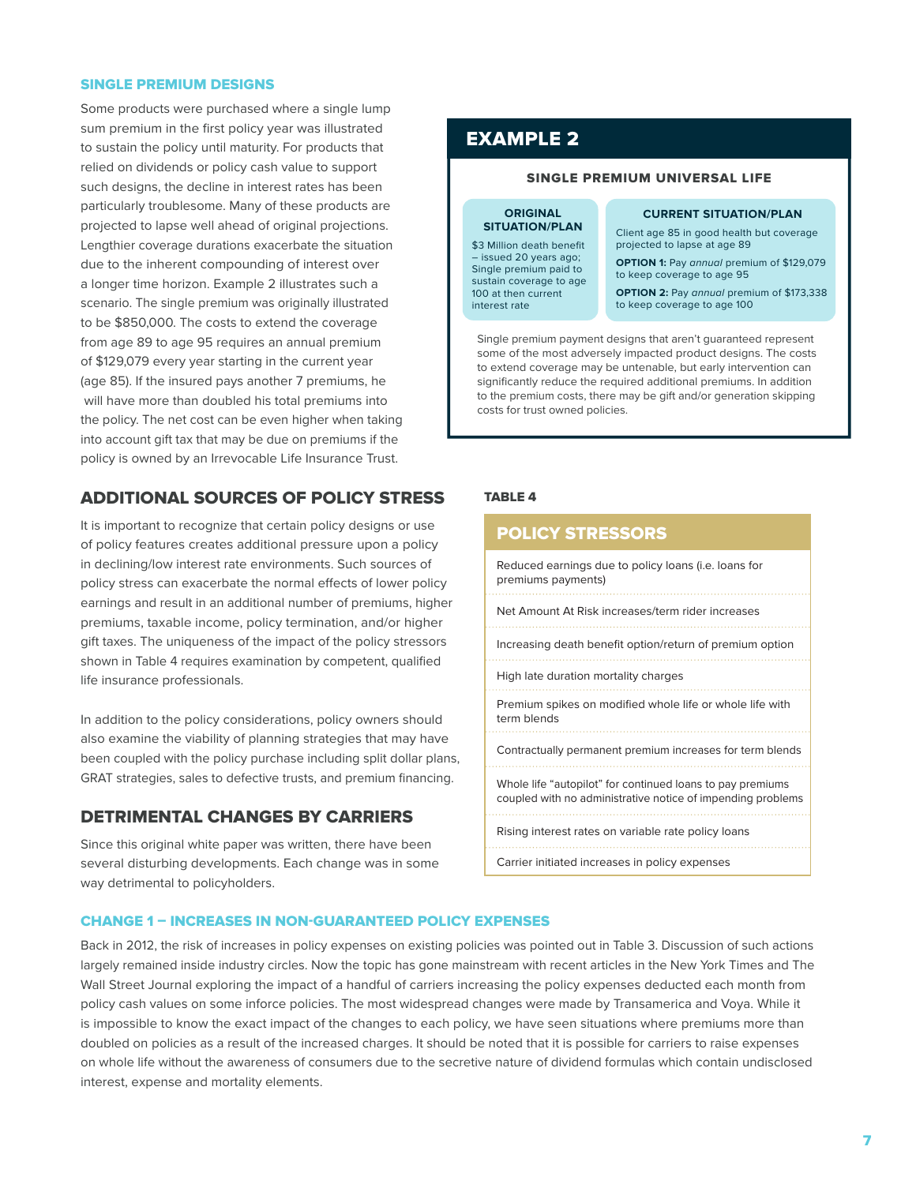#### SINGLE PREMIUM DESIGNS

Some products were purchased where a single lump sum premium in the first policy year was illustrated to sustain the policy until maturity. For products that relied on dividends or policy cash value to support such designs, the decline in interest rates has been particularly troublesome. Many of these products are projected to lapse well ahead of original projections. Lengthier coverage durations exacerbate the situation due to the inherent compounding of interest over a longer time horizon. Example 2 illustrates such a scenario. The single premium was originally illustrated to be \$850,000. The costs to extend the coverage from age 89 to age 95 requires an annual premium of \$129,079 every year starting in the current year (age 85). If the insured pays another 7 premiums, he will have more than doubled his total premiums into the policy. The net cost can be even higher when taking into account gift tax that may be due on premiums if the policy is owned by an Irrevocable Life Insurance Trust.

## ADDITIONAL SOURCES OF POLICY STRESS

It is important to recognize that certain policy designs or use of policy features creates additional pressure upon a policy in declining/low interest rate environments. Such sources of policy stress can exacerbate the normal effects of lower policy earnings and result in an additional number of premiums, higher premiums, taxable income, policy termination, and/or higher gift taxes. The uniqueness of the impact of the policy stressors shown in Table 4 requires examination by competent, qualified life insurance professionals.

In addition to the policy considerations, policy owners should also examine the viability of planning strategies that may have been coupled with the policy purchase including split dollar plans, GRAT strategies, sales to defective trusts, and premium financing.

## DETRIMENTAL CHANGES BY CARRIERS

Since this original white paper was written, there have been several disturbing developments. Each change was in some way detrimental to policyholders.

# EXAMPLE 2

#### SINGLE PREMIUM UNIVERSAL LIFE

#### **ORIGINAL SITUATION/PLAN**

\$3 Million death benefit – issued 20 years ago; Single premium paid to sustain coverage to age 100 at then current interest rate

#### **CURRENT SITUATION/PLAN**

Client age 85 in good health but coverage projected to lapse at age 89

**OPTION 1:** Pay annual premium of \$129,079 to keep coverage to age 95

**OPTION 2:** Pay annual premium of \$173,338 to keep coverage to age 100

Single premium payment designs that aren't guaranteed represent some of the most adversely impacted product designs. The costs to extend coverage may be untenable, but early intervention can significantly reduce the required additional premiums. In addition to the premium costs, there may be gift and/or generation skipping costs for trust owned policies.

#### TABLE 4

| <b>POLICY STRESSORS</b>                                                                                                   |  |  |
|---------------------------------------------------------------------------------------------------------------------------|--|--|
| Reduced earnings due to policy loans (i.e. loans for<br>premiums payments)                                                |  |  |
| Net Amount At Risk increases/term rider increases                                                                         |  |  |
| Increasing death benefit option/return of premium option                                                                  |  |  |
| High late duration mortality charges                                                                                      |  |  |
| Premium spikes on modified whole life or whole life with<br>term blends                                                   |  |  |
| Contractually permanent premium increases for term blends                                                                 |  |  |
| Whole life "autopilot" for continued loans to pay premiums<br>coupled with no administrative notice of impending problems |  |  |
| Rising interest rates on variable rate policy loans                                                                       |  |  |
| Carrier initiated increases in policy expenses                                                                            |  |  |

### CHANGE 1 – INCREASES IN NON-GUARANTEED POLICY EXPENSES

Back in 2012, the risk of increases in policy expenses on existing policies was pointed out in Table 3. Discussion of such actions largely remained inside industry circles. Now the topic has gone mainstream with recent articles in the New York Times and The Wall Street Journal exploring the impact of a handful of carriers increasing the policy expenses deducted each month from policy cash values on some inforce policies. The most widespread changes were made by Transamerica and Voya. While it is impossible to know the exact impact of the changes to each policy, we have seen situations where premiums more than doubled on policies as a result of the increased charges. It should be noted that it is possible for carriers to raise expenses on whole life without the awareness of consumers due to the secretive nature of dividend formulas which contain undisclosed interest, expense and mortality elements.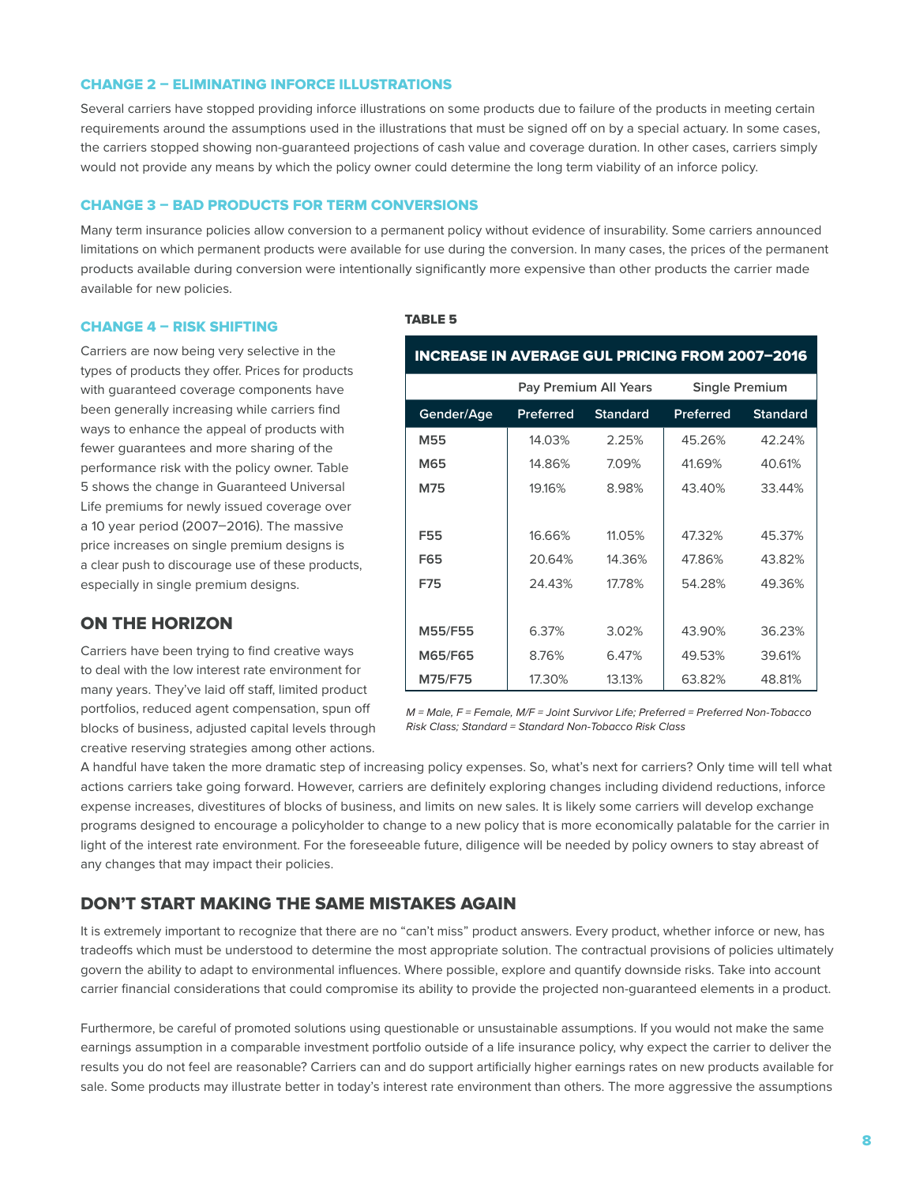#### CHANGE 2 – ELIMINATING INFORCE ILLUSTRATIONS

Several carriers have stopped providing inforce illustrations on some products due to failure of the products in meeting certain requirements around the assumptions used in the illustrations that must be signed off on by a special actuary. In some cases, the carriers stopped showing non-guaranteed projections of cash value and coverage duration. In other cases, carriers simply would not provide any means by which the policy owner could determine the long term viability of an inforce policy.

#### CHANGE 3 – BAD PRODUCTS FOR TERM CONVERSIONS

Many term insurance policies allow conversion to a permanent policy without evidence of insurability. Some carriers announced limitations on which permanent products were available for use during the conversion. In many cases, the prices of the permanent products available during conversion were intentionally significantly more expensive than other products the carrier made available for new policies.

#### CHANGE 4 – RISK SHIFTING

Carriers are now being very selective in the types of products they offer. Prices for products with guaranteed coverage components have been generally increasing while carriers find ways to enhance the appeal of products with fewer guarantees and more sharing of the performance risk with the policy owner. Table 5 shows the change in Guaranteed Universal Life premiums for newly issued coverage over a 10 year period (2007–2016). The massive price increases on single premium designs is a clear push to discourage use of these products, especially in single premium designs.

## ON THE HORIZON

Carriers have been trying to find creative ways to deal with the low interest rate environment for many years. They've laid off staff, limited product portfolios, reduced agent compensation, spun off blocks of business, adjusted capital levels through creative reserving strategies among other actions.

#### TABLE 5

| <b>INCREASE IN AVERAGE GUL PRICING FROM 2007-2016</b> |                       |                 |                       |                 |  |  |  |
|-------------------------------------------------------|-----------------------|-----------------|-----------------------|-----------------|--|--|--|
|                                                       | Pay Premium All Years |                 | <b>Single Premium</b> |                 |  |  |  |
| Gender/Age                                            | Preferred             | <b>Standard</b> | <b>Preferred</b>      | <b>Standard</b> |  |  |  |
| M55                                                   | 14.03%                | 2.25%           | 45.26%                | 42.24%          |  |  |  |
| M65                                                   | 14.86%                | 7.09%           | 41.69%                | 40.61%          |  |  |  |
| M75                                                   | 19.16%                | 8.98%           | 43.40%                | 33.44%          |  |  |  |
|                                                       |                       |                 |                       |                 |  |  |  |
| F55                                                   | 16.66%                | 11.05%          | 47.32%                | 45.37%          |  |  |  |
| F65                                                   | 20.64%                | 14.36%          | 47.86%                | 43.82%          |  |  |  |
| F75                                                   | 24.43%                | 17.78%          | 54.28%                | 49.36%          |  |  |  |
|                                                       |                       |                 |                       |                 |  |  |  |
| M55/F55                                               | 6.37%                 | 3.02%           | 43.90%                | 36.23%          |  |  |  |
| M65/F65                                               | 8.76%                 | 6.47%           | 49.53%                | 39.61%          |  |  |  |
| M75/F75                                               | 17.30%                | 13.13%          | 63.82%                | 48.81%          |  |  |  |

*M = Male, F = Female, M/F = Joint Survivor Life; Preferred = Preferred Non-Tobacco Risk Class; Standard = Standard Non-Tobacco Risk Class*

A handful have taken the more dramatic step of increasing policy expenses. So, what's next for carriers? Only time will tell what actions carriers take going forward. However, carriers are definitely exploring changes including dividend reductions, inforce expense increases, divestitures of blocks of business, and limits on new sales. It is likely some carriers will develop exchange programs designed to encourage a policyholder to change to a new policy that is more economically palatable for the carrier in light of the interest rate environment. For the foreseeable future, diligence will be needed by policy owners to stay abreast of any changes that may impact their policies.

## DON'T START MAKING THE SAME MISTAKES AGAIN

It is extremely important to recognize that there are no "can't miss" product answers. Every product, whether inforce or new, has tradeoffs which must be understood to determine the most appropriate solution. The contractual provisions of policies ultimately govern the ability to adapt to environmental influences. Where possible, explore and quantify downside risks. Take into account carrier financial considerations that could compromise its ability to provide the projected non-guaranteed elements in a product.

Furthermore, be careful of promoted solutions using questionable or unsustainable assumptions. If you would not make the same earnings assumption in a comparable investment portfolio outside of a life insurance policy, why expect the carrier to deliver the results you do not feel are reasonable? Carriers can and do support artificially higher earnings rates on new products available for sale. Some products may illustrate better in today's interest rate environment than others. The more aggressive the assumptions